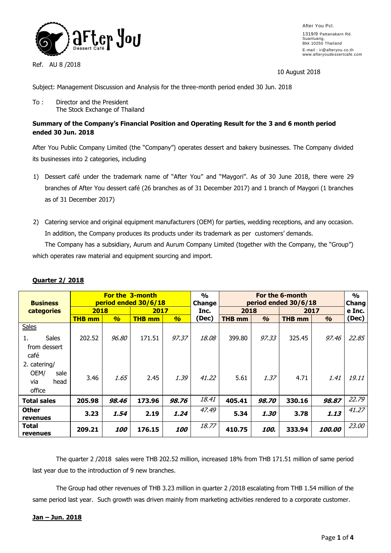

Ref. AU 8 /2018

After You Pcl. 1319/9 Pattanakarn Rd. Suanluang, Bkk 10250 Thailand E-mail : ir@afteryou.co.th www.afteryoudessertcafe.com

10 August 2018

Subject: Management Discussion and Analysis for the three-month period ended 30 Jun. 2018

To : Director and the President The Stock Exchange of Thailand

# **Summary of the Company's Financial Position and Operating Result for the 3 and 6 month period ended 30 Jun. 2018**

After You Public Company Limited (the "Company") operates dessert and bakery businesses. The Company divided its businesses into 2 categories, including

- 1) Dessert café under the trademark name of "After You" and "Maygori". As of 30 June 2018, there were 29 branches of After You dessert café (26 branches as of 31 December 2017) and 1 branch of Maygori (1 branches as of 31 December 2017)
- 2) Catering service and original equipment manufacturers (OEM) for parties, wedding receptions, and any occasion. In addition, the Company produces its products under its trademark as per customers' demands.

The Company has a subsidiary, Aurum and Aurum Company Limited (together with the Company, the "Group") which operates raw material and equipment sourcing and import.

| <b>Business</b>    | <b>For the 3-month</b><br>period ended 30/6/18 |                   |               |                   | $\frac{1}{2}$<br>Change | For the 6-month<br>period ended 30/6/18 |               |               |                      | $\frac{0}{0}$<br>Chang |
|--------------------|------------------------------------------------|-------------------|---------------|-------------------|-------------------------|-----------------------------------------|---------------|---------------|----------------------|------------------------|
| categories         | 2018                                           |                   | 2017          |                   | Inc.                    | 2018                                    |               | 2017          |                      | e Inc.                 |
|                    | <b>THB mm</b>                                  | $\frac{a}{2}$     | <b>THB mm</b> | $\frac{a}{2}$     | (Dec)                   | <b>THB</b> mm                           | $\frac{a}{2}$ | <b>THB mm</b> | $\frac{a}{2}$        | (Dec)                  |
| <b>Sales</b>       |                                                |                   |               |                   |                         |                                         |               |               |                      |                        |
| Sales<br>1.        | 202.52                                         | 96.80             | 171.51        | 97.37             | 18.08                   | 399.80                                  | 97.33         | 325.45        | 97.46                | 22.85                  |
| from dessert       |                                                |                   |               |                   |                         |                                         |               |               |                      |                        |
| café               |                                                |                   |               |                   |                         |                                         |               |               |                      |                        |
| 2. catering/       |                                                |                   |               |                   |                         |                                         |               |               |                      |                        |
| OEM/<br>sale       | 3.46                                           | 1.65              | 2.45          | 1.39              | 41.22                   | 5.61                                    | 1.37          | 4.71          | 1.41                 | 19.11                  |
| head<br>via        |                                                |                   |               |                   |                         |                                         |               |               |                      |                        |
| office             |                                                |                   |               |                   |                         |                                         |               |               |                      |                        |
| <b>Total sales</b> | 205.98                                         | 98.46             | 173.96        | 98.76             | 18.41                   | 405.41                                  | 98.70         | 330.16        | 98.87                | 22.79                  |
| <b>Other</b>       | 3.23                                           | 1.54              | 2.19          | 1.24              | 47.49                   | 5.34                                    | 1.30          | 3.78          | 1.13                 | 41.27                  |
| revenues           |                                                |                   |               |                   |                         |                                         |               |               |                      |                        |
| Total              | 209.21                                         | <i><b>100</b></i> | 176.15        | <i><b>100</b></i> | 18.77                   | 410.75                                  | 100.          | 333.94        | <i><b>100.00</b></i> | 23.00                  |
| revenues           |                                                |                   |               |                   |                         |                                         |               |               |                      |                        |

# **Quarter 2/ 2018**

The quarter 2 /2018 sales were THB 202.52 million, increased 18% from THB 171.51 million of same period last year due to the introduction of 9 new branches.

The Group had other revenues of THB 3.23 million in quarter 2 /2018 escalating from THB 1.54 million of the same period last year. Such growth was driven mainly from marketing activities rendered to a corporate customer.

## **Jan – Jun. 2018**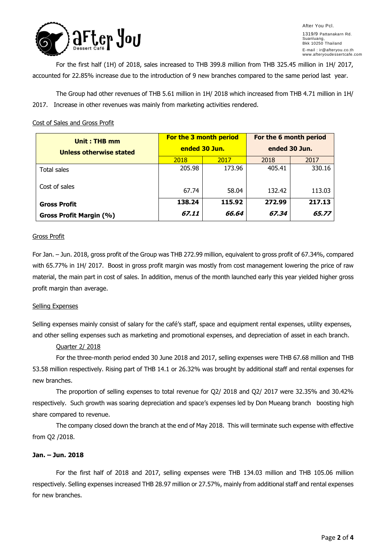

After You Pcl. 1319/9 Pattanakarn Rd. Suanluang, Bkk 10250 Thailand E-mail : ir@afteryou.co.th www.afteryoudessertcafe.com

For the first half (1H) of 2018, sales increased to THB 399.8 million from THB 325.45 million in 1H/ 2017, accounted for 22.85% increase due to the introduction of 9 new branches compared to the same period last year.

The Group had other revenues of THB 5.61 million in 1H/ 2018 which increased from THB 4.71 million in 1H/ 2017. Increase in other revenues was mainly from marketing activities rendered.

## Cost of Sales and Gross Profit

| Unit: THB mm            | <b>For the 3 month period</b> |        | For the 6 month period<br>ended 30 Jun. |        |  |
|-------------------------|-------------------------------|--------|-----------------------------------------|--------|--|
| Unless otherwise stated | ended 30 Jun.                 |        |                                         |        |  |
|                         | 2018                          | 2017   | 2018                                    | 2017   |  |
| Total sales             | 205.98                        | 173.96 | 405.41                                  | 330.16 |  |
| Cost of sales           | 67.74                         | 58.04  | 132.42                                  | 113.03 |  |
| <b>Gross Profit</b>     | 138.24                        | 115.92 | 272.99                                  | 217.13 |  |
| Gross Profit Margin (%) | 67.11                         | 66.64  | 67.34                                   | 65,77  |  |

## Gross Profit

For Jan. – Jun. 2018, gross profit of the Group was THB 272.99 million, equivalent to gross profit of 67.34%, compared with 65.77% in 1H/ 2017. Boost in gross profit margin was mostly from cost management lowering the price of raw material, the main part in cost of sales. In addition, menus of the month launched early this year yielded higher gross profit margin than average.

## Selling Expenses

Selling expenses mainly consist of salary for the café's staff, space and equipment rental expenses, utility expenses, and other selling expenses such as marketing and promotional expenses, and depreciation of asset in each branch.

## Quarter 2/ 2018

For the three-month period ended 30 June 2018 and 2017, selling expenses were THB 67.68 million and THB 53.58 million respectively. Rising part of THB 14.1 or 26.32% was brought by additional staff and rental expenses for new branches.

The proportion of selling expenses to total revenue for Q2/ 2018 and Q2/ 2017 were 32.35% and 30.42% respectively. Such growth was soaring depreciation and space's expenses led by Don Mueang branch boosting high share compared to revenue.

The company closed down the branch at the end of May 2018. This will terminate such expense with effective from Q2 /2018.

## **Jan. – Jun. 2018**

For the first half of 2018 and 2017, selling expenses were THB 134.03 million and THB 105.06 million respectively. Selling expenses increased THB 28.97 million or 27.57%, mainly from additional staff and rental expenses for new branches.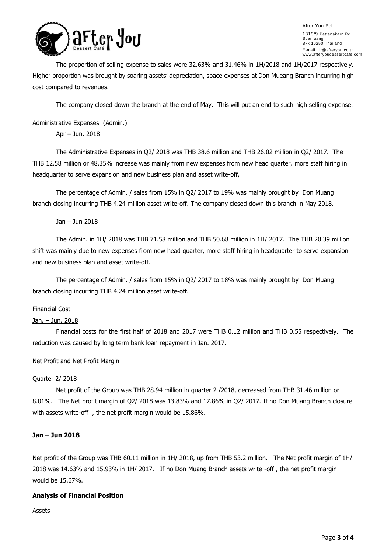

After You Pcl. 1319/9 Pattanakarn Rd. Suanluang, Bkk 10250 Thailand E-mail : ir@afteryou.co.th www.afteryoudessertcafe.com

The proportion of selling expense to sales were 32.63% and 31.46% in 1H/2018 and 1H/2017 respectively. Higher proportion was brought by soaring assets' depreciation, space expenses at Don Mueang Branch incurring high cost compared to revenues.

The company closed down the branch at the end of May. This will put an end to such high selling expense.

## Administrative Expenses (Admin.)

Apr – Jun. 2018

The Administrative Expenses in Q2/ 2018 was THB 38.6 million and THB 26.02 million in Q2/ 2017. The THB 12.58 million or 48.35% increase was mainly from new expenses from new head quarter, more staff hiring in headquarter to serve expansion and new business plan and asset write-off,

The percentage of Admin. / sales from 15% in Q2/ 2017 to 19% was mainly brought by Don Muang branch closing incurring THB 4.24 million asset write-off. The company closed down this branch in May 2018.

### Jan - Jun 2018

The Admin. in 1H/ 2018 was THB 71.58 million and THB 50.68 million in 1H/ 2017. The THB 20.39 million shift was mainly due to new expenses from new head quarter, more staff hiring in headquarter to serve expansion and new business plan and asset write-off.

The percentage of Admin. / sales from 15% in Q2/ 2017 to 18% was mainly brought by Don Muang branch closing incurring THB 4.24 million asset write-off.

## Financial Cost

## Jan. – Jun. 2018

Financial costs for the first half of 2018 and 2017 were THB 0.12 million and THB 0.55 respectively. The reduction was caused by long term bank loan repayment in Jan. 2017.

#### Net Profit and Net Profit Margin

#### Quarter 2/ 2018

Net profit of the Group was THB 28.94 million in quarter 2 /2018, decreased from THB 31.46 million or 8.01%. The Net profit margin of Q2/ 2018 was 13.83% and 17.86% in Q2/ 2017. If no Don Muang Branch closure with assets write-off , the net profit margin would be 15.86%.

## **Jan – Jun 2018**

Net profit of the Group was THB 60.11 million in 1H/ 2018, up from THB 53.2 million. The Net profit margin of 1H/ 2018 was 14.63% and 15.93% in 1H/ 2017. If no Don Muang Branch assets write -off , the net profit margin would be 15.67%.

## **Analysis of Financial Position**

Assets